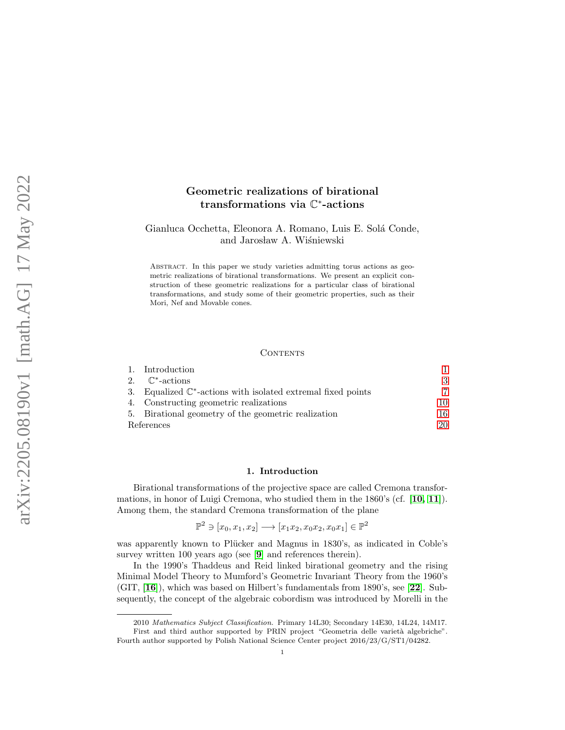# Geometric realizations of birational transformations via **€**\*-actions

Gianluca Occhetta, Eleonora A. Romano, Luis E. Sol´a Conde, and Jarosław A. Wiśniewski

Abstract. In this paper we study varieties admitting torus actions as geometric realizations of birational transformations. We present an explicit construction of these geometric realizations for a particular class of birational transformations, and study some of their geometric properties, such as their Mori, Nef and Movable cones.

### CONTENTS

|            | 1. Introduction                                                          |    |
|------------|--------------------------------------------------------------------------|----|
|            | 2. $\mathbb{C}^*$ -actions                                               | 3  |
|            | 3. Equalized $\mathbb{C}^*$ -actions with isolated extremal fixed points |    |
|            | 4. Constructing geometric realizations                                   | 10 |
|            | 5. Birational geometry of the geometric realization                      | 16 |
| References |                                                                          |    |

### 1. Introduction

<span id="page-0-0"></span>Birational transformations of the projective space are called Cremona transformations, in honor of Luigi Cremona, who studied them in the 1860's (cf. [[10,](#page-20-0) [11](#page-20-1)]). Among them, the standard Cremona transformation of the plane

 $\mathbb{P}^2 \ni [x_0, x_1, x_2] \longrightarrow [x_1x_2, x_0x_2, x_0x_1] \in \mathbb{P}^2$ 

was apparently known to Plücker and Magnus in 1830's, as indicated in Coble's survey written 100 years ago (see [[9](#page-20-2)] and references therein).

In the 1990's Thaddeus and Reid linked birational geometry and the rising Minimal Model Theory to Mumford's Geometric Invariant Theory from the 1960's (GIT, [[16](#page-20-3)]), which was based on Hilbert's fundamentals from 1890's, see [[22](#page-20-4)]. Subsequently, the concept of the algebraic cobordism was introduced by Morelli in the

<sup>2010</sup> Mathematics Subject Classification. Primary 14L30; Secondary 14E30, 14L24, 14M17. First and third author supported by PRIN project "Geometria delle varietà algebriche". Fourth author supported by Polish National Science Center project 2016/23/G/ST1/04282.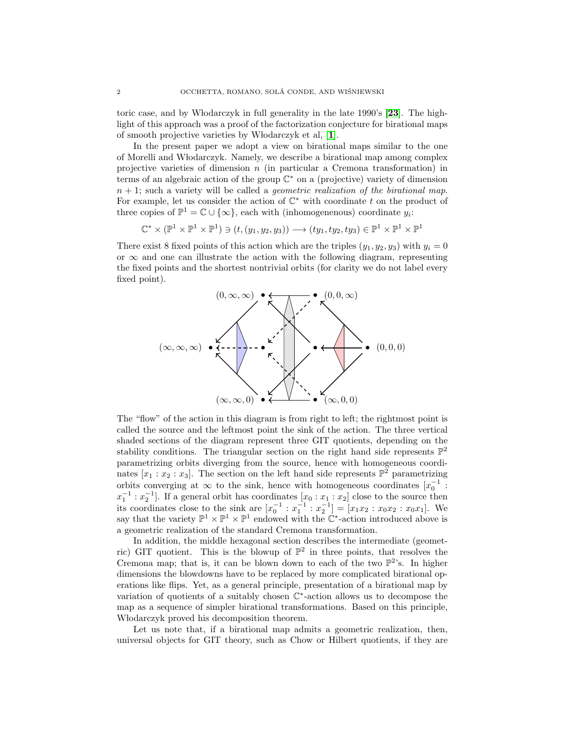toric case, and by Włodarczyk in full generality in the late  $1990$ 's [[23](#page-20-5)]. The highlight of this approach was a proof of the factorization conjecture for birational maps of smooth projective varieties by Włodarczyk et al, [[1](#page-19-1)].

In the present paper we adopt a view on birational maps similar to the one of Morelli and W lodarczyk. Namely, we describe a birational map among complex projective varieties of dimension  $n$  (in particular a Cremona transformation) in terms of an algebraic action of the group C <sup>∗</sup> on a (projective) variety of dimension  $n + 1$ ; such a variety will be called a *geometric realization of the birational map*. For example, let us consider the action of  $\mathbb{C}^*$  with coordinate t on the product of three copies of  $\mathbb{P}^1 = \mathbb{C} \cup \{\infty\}$ , each with (inhomogenenous) coordinate  $y_i$ :

 $\mathbb{C}^* \times (\mathbb{P}^1 \times \mathbb{P}^1 \times \mathbb{P}^1) \ni (t, (y_1, y_2, y_3)) \longrightarrow (ty_1, ty_2, ty_3) \in \mathbb{P}^1 \times \mathbb{P}^1 \times \mathbb{P}^1$ 

There exist 8 fixed points of this action which are the triples  $(y_1, y_2, y_3)$  with  $y_i = 0$ or  $\infty$  and one can illustrate the action with the following diagram, representing the fixed points and the shortest nontrivial orbits (for clarity we do not label every fixed point).



The "flow" of the action in this diagram is from right to left; the rightmost point is called the source and the leftmost point the sink of the action. The three vertical shaded sections of the diagram represent three GIT quotients, depending on the stability conditions. The triangular section on the right hand side represents  $\mathbb{P}^2$ parametrizing orbits diverging from the source, hence with homogeneous coordinates  $[x_1 : x_2 : x_3]$ . The section on the left hand side represents  $\mathbb{P}^2$  parametrizing orbits converging at  $\infty$  to the sink, hence with homogeneous coordinates  $[x_0^{-1}$ :  $x_1^{-1}$ :  $x_2^{-1}$ . If a general orbit has coordinates  $[x_0 : x_1 : x_2]$  close to the source then its coordinates close to the sink are  $[x_0^{-1} : x_1^{-1} : x_2^{-1}] = [x_1 x_2 : x_0 x_2 : x_0 x_1]$ . We say that the variety  $\mathbb{P}^1 \times \mathbb{P}^1 \times \mathbb{P}^1$  endowed with the  $\mathbb{C}^*$ -action introduced above is a geometric realization of the standard Cremona transformation.

In addition, the middle hexagonal section describes the intermediate (geometric) GIT quotient. This is the blowup of  $\mathbb{P}^2$  in three points, that resolves the Cremona map; that is, it can be blown down to each of the two  $\mathbb{P}^2$ 's. In higher dimensions the blowdowns have to be replaced by more complicated birational operations like flips. Yet, as a general principle, presentation of a birational map by variation of quotients of a suitably chosen  $\mathbb{C}^*$ -action allows us to decompose the map as a sequence of simpler birational transformations. Based on this principle, W lodarczyk proved his decomposition theorem.

Let us note that, if a birational map admits a geometric realization, then, universal objects for GIT theory, such as Chow or Hilbert quotients, if they are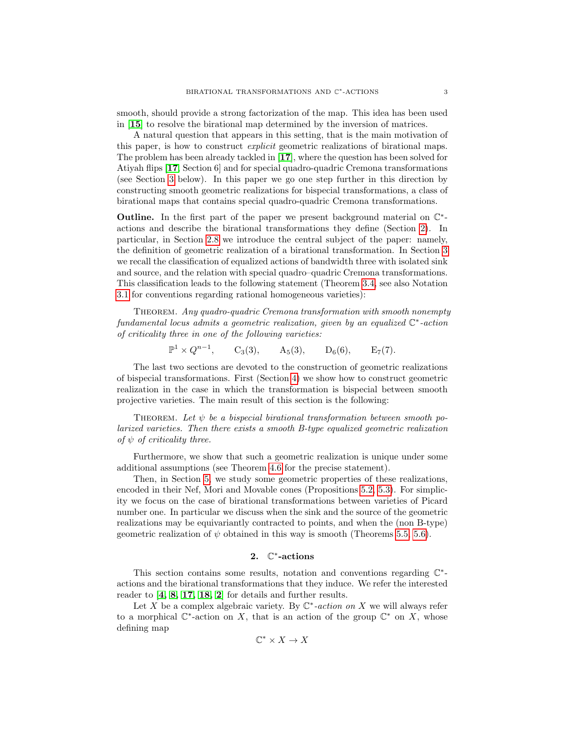smooth, should provide a strong factorization of the map. This idea has been used in [[15](#page-20-6)] to resolve the birational map determined by the inversion of matrices.

A natural question that appears in this setting, that is the main motivation of this paper, is how to construct explicit geometric realizations of birational maps. The problem has been already tackled in [[17](#page-20-7)], where the question has been solved for Atiyah flips [[17](#page-20-7), Section 6] and for special quadro-quadric Cremona transformations (see Section [3](#page-6-0) below). In this paper we go one step further in this direction by constructing smooth geometric realizations for bispecial transformations, a class of birational maps that contains special quadro-quadric Cremona transformations.

Outline. In the first part of the paper we present background material on  $\mathbb{C}^*$ actions and describe the birational transformations they define (Section [2\)](#page-2-0). In particular, in Section [2.8](#page-6-1) we introduce the central subject of the paper: namely, the definition of geometric realization of a birational transformation. In Section [3](#page-6-0) we recall the classification of equalized actions of bandwidth three with isolated sink and source, and the relation with special quadro–quadric Cremona transformations. This classification leads to the following statement (Theorem [3.4,](#page-9-1) see also Notation [3.1](#page-7-0) for conventions regarding rational homogeneous varieties):

THEOREM. Any quadro-quadric Cremona transformation with smooth nonempty  $fundamental \ locus \ admits \ a \ geometric \ realization, \ given \ by \ an \ equalized \ \mathbb{C}^*-action$ of criticality three in one of the following varieties:

 $\mathbb{P}^1 \times Q^{n-1}$ ,  $C_3(3)$ ,  $A_5(3)$ ,  $D_6(6)$ ,  $E_7(7)$ .

The last two sections are devoted to the construction of geometric realizations of bispecial transformations. First (Section [4\)](#page-9-0) we show how to construct geometric realization in the case in which the transformation is bispecial between smooth projective varieties. The main result of this section is the following:

THEOREM. Let  $\psi$  be a bispecial birational transformation between smooth polarized varieties. Then there exists a smooth B-type equalized geometric realization of  $\psi$  of criticality three.

Furthermore, we show that such a geometric realization is unique under some additional assumptions (see Theorem [4.6](#page-10-0) for the precise statement).

Then, in Section [5,](#page-15-0) we study some geometric properties of these realizations, encoded in their Nef, Mori and Movable cones (Propositions [5.2,](#page-15-1) [5.3\)](#page-17-0). For simplicity we focus on the case of birational transformations between varieties of Picard number one. In particular we discuss when the sink and the source of the geometric realizations may be equivariantly contracted to points, and when the (non B-type) geometric realization of  $\psi$  obtained in this way is smooth (Theorems [5.5,](#page-18-0) [5.6\)](#page-19-2).

## 2. C ∗ -actions

<span id="page-2-0"></span>This section contains some results, notation and conventions regarding  $\mathbb{C}^*$ actions and the birational transformations that they induce. We refer the interested reader to [[4,](#page-19-3) [8,](#page-20-8) [17,](#page-20-7) [18,](#page-20-9) [2](#page-19-4)] for details and further results.

Let X be a complex algebraic variety. By  $\mathbb{C}^*$ -action on X we will always refer to a morphical  $\mathbb{C}^*$ -action on X, that is an action of the group  $\mathbb{C}^*$  on X, whose defining map

$$
\mathbb{C}^*\times X\to X
$$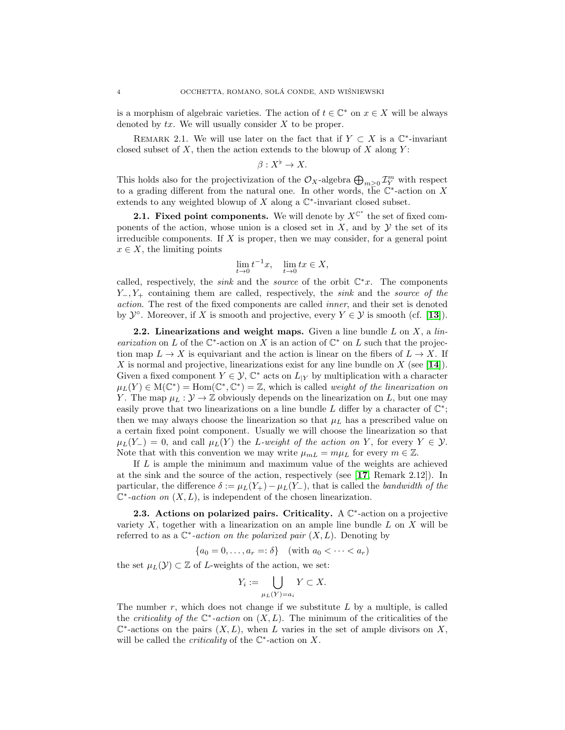is a morphism of algebraic varieties. The action of  $t \in \mathbb{C}^*$  on  $x \in X$  will be always denoted by  $tx$ . We will usually consider  $X$  to be proper.

<span id="page-3-0"></span>REMARK 2.1. We will use later on the fact that if  $Y \subset X$  is a  $\mathbb{C}^*$ -invariant closed subset of  $X$ , then the action extends to the blowup of  $X$  along  $Y$ :

$$
\beta: X^{\flat} \to X.
$$

This holds also for the projectivization of the  $\mathcal{O}_X$ -algebra  $\bigoplus_{m\geq 0} \mathcal{I}_Y^m$  with respect to a grading different from the natural one. In other words, the  $\mathbb{C}^*$ -action on X extends to any weighted blowup of  $X$  along a  $\mathbb{C}^*$ -invariant closed subset.

**2.1. Fixed point components.** We will denote by  $X^{C^*}$  the set of fixed components of the action, whose union is a closed set in  $X$ , and by  $Y$  the set of its irreducible components. If  $X$  is proper, then we may consider, for a general point  $x \in X$ , the limiting points

$$
\lim_{t \to 0} t^{-1}x, \quad \lim_{t \to 0} tx \in X,
$$

called, respectively, the *sink* and the *source* of the orbit  $\mathbb{C}^*x$ . The components  $Y_-, Y_+$  containing them are called, respectively, the *sink* and the *source of the* action. The rest of the fixed components are called inner, and their set is denoted by  $\mathcal{Y}^{\circ}$ . Moreover, if X is smooth and projective, every  $Y \in \mathcal{Y}$  is smooth (cf. [[13](#page-20-10)]).

2.2. Linearizations and weight maps. Given a line bundle  $L$  on  $X$ , a linearization on L of the  $\mathbb{C}^*$ -action on X is an action of  $\mathbb{C}^*$  on L such that the projection map  $L \to X$  is equivariant and the action is linear on the fibers of  $L \to X$ . If X is normal and projective, linearizations exist for any line bundle on  $X$  (see [[14](#page-20-11)]). Given a fixed component  $Y \in \mathcal{Y}, \mathbb{C}^*$  acts on  $L_{|Y}$  by multiplication with a character  $\mu_L(Y) \in M(\mathbb{C}^*) = \text{Hom}(\mathbb{C}^*, \mathbb{C}^*) = \mathbb{Z}$ , which is called *weight of the linearization on* Y. The map  $\mu_L : \mathcal{Y} \to \mathbb{Z}$  obviously depends on the linearization on L, but one may easily prove that two linearizations on a line bundle L differ by a character of  $\mathbb{C}^*$ ; then we may always choose the linearization so that  $\mu_L$  has a prescribed value on a certain fixed point component. Usually we will choose the linearization so that  $\mu_L(Y_-) = 0$ , and call  $\mu_L(Y)$  the L-weight of the action on Y, for every  $Y \in \mathcal{Y}$ . Note that with this convention we may write  $\mu_{mL} = m\mu_L$  for every  $m \in \mathbb{Z}$ .

If L is ample the minimum and maximum value of the weights are achieved at the sink and the source of the action, respectively (see [[17](#page-20-7), Remark 2.12]). In particular, the difference  $\delta := \mu_L(Y_+) - \mu_L(Y_-)$ , that is called the bandwidth of the  $\mathbb{C}^*$ -action on  $(X, L)$ , is independent of the chosen linearization.

2.3. Actions on polarized pairs. Criticality.  $A \mathbb{C}^*$ -action on a projective variety  $X$ , together with a linearization on an ample line bundle  $L$  on  $X$  will be referred to as a  $\mathbb{C}^*$ -action on the polarized pair  $(X, L)$ . Denoting by

$$
\{a_0 = 0, \dots, a_r =: \delta\} \quad (\text{with } a_0 < \dots < a_r)
$$

the set  $\mu_L(\mathcal{Y}) \subset \mathbb{Z}$  of L-weights of the action, we set:

$$
Y_i := \bigcup_{\mu_L(Y)=a_i} Y \subset X.
$$

The number  $r$ , which does not change if we substitute  $L$  by a multiple, is called the *criticality of the*  $\mathbb{C}^*$ -action on  $(X, L)$ . The minimum of the criticalities of the  $\mathbb{C}^*$ -actions on the pairs  $(X, L)$ , when L varies in the set of ample divisors on X, will be called the *criticality* of the  $\mathbb{C}^*$ -action on X.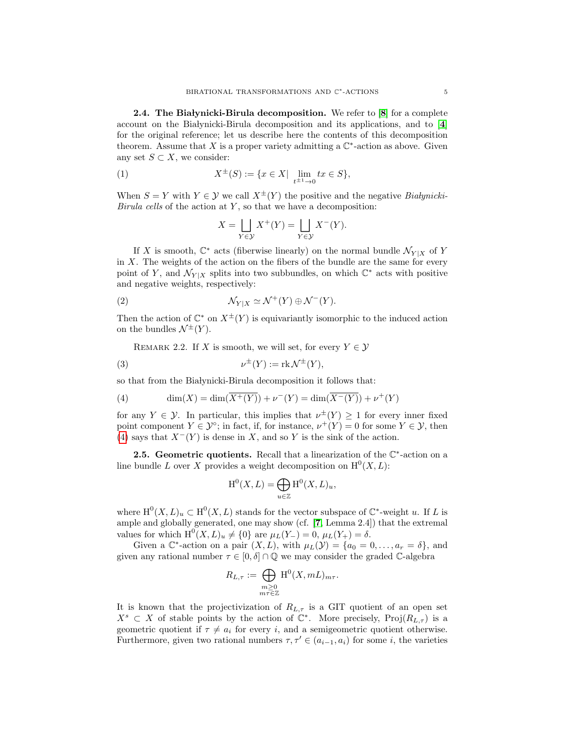**2.4.** The Bia lynicki-Birula decomposition. We refer to  $[8]$  $[8]$  $[8]$  for a complete account on the Białynicki-Birula decomposition and its applications, and to  $[4]$  $[4]$  $[4]$ for the original reference; let us describe here the contents of this decomposition theorem. Assume that X is a proper variety admitting a  $\mathbb{C}^*$ -action as above. Given any set  $S \subset X$ , we consider:

(1) 
$$
X^{\pm}(S) := \{ x \in X | \lim_{t^{\pm 1} \to 0} tx \in S \},
$$

When  $S = Y$  with  $Y \in \mathcal{Y}$  we call  $X^{\pm}(Y)$  the positive and the negative *Bialynicki*-Birula cells of the action at  $Y$ , so that we have a decomposition:

$$
X = \bigsqcup_{Y \in \mathcal{Y}} X^+(Y) = \bigsqcup_{Y \in \mathcal{Y}} X^-(Y).
$$

If X is smooth,  $\mathbb{C}^*$  acts (fiberwise linearly) on the normal bundle  $\mathcal{N}_{Y|X}$  of Y in  $X$ . The weights of the action on the fibers of the bundle are the same for every point of Y, and  $\mathcal{N}_{Y|X}$  splits into two subbundles, on which  $\mathbb{C}^*$  acts with positive and negative weights, respectively:

(2) 
$$
\mathcal{N}_{Y|X} \simeq \mathcal{N}^+(Y) \oplus \mathcal{N}^-(Y).
$$

Then the action of  $\mathbb{C}^*$  on  $X^{\pm}(Y)$  is equivariantly isomorphic to the induced action on the bundles  $\mathcal{N}^{\pm}(Y)$ .

REMARK 2.2. If X is smooth, we will set, for every  $Y \in \mathcal{Y}$ 

(3) 
$$
\nu^{\pm}(Y) := \text{rk } \mathcal{N}^{\pm}(Y),
$$

so that from the Białynicki-Birula decomposition it follows that:

<span id="page-4-0"></span>(4) 
$$
\dim(X) = \dim(\overline{X^+(Y)}) + \nu^-(Y) = \dim(\overline{X^-(Y)}) + \nu^+(Y)
$$

for any  $Y \in \mathcal{Y}$ . In particular, this implies that  $\nu^{\pm}(Y) \geq 1$  for every inner fixed point component  $Y \in \mathcal{Y}^{\circ}$ ; in fact, if, for instance,  $\nu^+(Y) = 0$  for some  $Y \in \mathcal{Y}$ , then [\(4\)](#page-4-0) says that  $X^{-}(Y)$  is dense in X, and so Y is the sink of the action.

<span id="page-4-1"></span>**2.5. Geometric quotients.** Recall that a linearization of the  $\mathbb{C}^*$ -action on a line bundle L over X provides a weight decomposition on  $\mathrm{H}^{0}(X, L)$ :

$$
\mathrm{H}^0(X, L) = \bigoplus_{u \in \mathbb{Z}} \mathrm{H}^0(X, L)_u,
$$

where  $\mathrm{H}^{0}(X, L)_{u} \subset \mathrm{H}^{0}(X, L)$  stands for the vector subspace of  $\mathbb{C}^{*}$ -weight u. If L is ample and globally generated, one may show (cf. [[7](#page-20-12), Lemma 2.4]) that the extremal values for which  $H^0(X, L)_u \neq \{0\}$  are  $\mu_L(Y_-) = 0$ ,  $\mu_L(Y_+) = \delta$ .

Given a  $\mathbb{C}^*$ -action on a pair  $(X, L)$ , with  $\mu_L(\mathcal{Y}) = \{a_0 = 0, \ldots, a_r = \delta\}$ , and given any rational number  $\tau \in [0, \delta] \cap \mathbb{Q}$  we may consider the graded C-algebra

$$
R_{L,\tau} := \bigoplus_{\substack{m \geq 0 \\ m\tau \in \mathbb{Z}}} \mathrm{H}^0(X, mL)_{m\tau}.
$$

It is known that the projectivization of  $R_{L,\tau}$  is a GIT quotient of an open set  $X^s \subset X$  of stable points by the action of  $\mathbb{C}^*$ . More precisely, Proj $(R_{L,\tau})$  is a geometric quotient if  $\tau \neq a_i$  for every i, and a semigeometric quotient otherwise. Furthermore, given two rational numbers  $\tau, \tau' \in (a_{i-1}, a_i)$  for some i, the varieties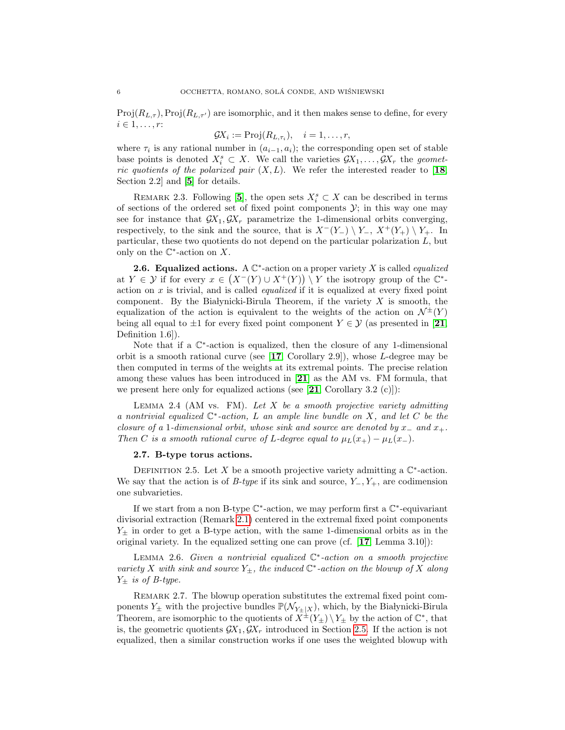$Proj(R_{L,\tau})$ ,  $Proj(R_{L,\tau'})$  are isomorphic, and it then makes sense to define, for every  $i \in 1, \ldots, r$ :

$$
\mathcal{G}X_i := \mathrm{Proj}(R_{L,\tau_i}), \quad i = 1,\ldots,r,
$$

where  $\tau_i$  is any rational number in  $(a_{i-1}, a_i)$ ; the corresponding open set of stable base points is denoted  $X_i^s \subset X$ . We call the varieties  $\mathcal{G}X_1, \ldots, \mathcal{G}X_r$  the geometric quotients of the polarized pair  $(X, L)$ . We refer the interested reader to [[18](#page-20-9), Section 2.2 and  $[5]$  $[5]$  $[5]$  for details.

<span id="page-5-0"></span>REMARK 2.3. Following [[5](#page-19-5)], the open sets  $X_i^s \subset X$  can be described in terms of sections of the ordered set of fixed point components  $\mathcal{Y}$ ; in this way one may see for instance that  $\mathcal{G}X_1, \mathcal{G}X_r$  parametrize the 1-dimensional orbits converging, respectively, to the sink and the source, that is  $X^{-}(Y_{-}) \setminus Y_{-}$ ,  $X^{+}(Y_{+}) \setminus Y_{+}$ . In particular, these two quotients do not depend on the particular polarization L, but only on the  $\mathbb{C}^*$ -action on X.

**2.6. Equalized actions.** A  $\mathbb{C}^*$ -action on a proper variety X is called *equalized* at  $Y \in \mathcal{Y}$  if for every  $x \in (X^-(Y) \cup X^+(Y)) \setminus Y$  the isotropy group of the  $\mathbb{C}^*$ action on  $x$  is trivial, and is called *equalized* if it is equalized at every fixed point component. By the Białynicki-Birula Theorem, if the variety  $X$  is smooth, the equalization of the action is equivalent to the weights of the action on  $\mathcal{N}^{\pm}(Y)$ being all equal to  $\pm 1$  for every fixed point component  $Y \in \mathcal{Y}$  (as presented in [[21](#page-20-13), Definition 1.6]).

Note that if a  $\mathbb{C}^*$ -action is equalized, then the closure of any 1-dimensional orbit is a smooth rational curve (see  $[17,$  $[17,$  $[17,$  Corollary 2.9]), whose L-degree may be then computed in terms of the weights at its extremal points. The precise relation among these values has been introduced in [[21](#page-20-13)] as the AM vs. FM formula, that we present here only for equalized actions (see  $[21,$  $[21,$  $[21,$  Corollary 3.2 (c)]):

<span id="page-5-2"></span>LEMMA 2.4 (AM vs. FM). Let  $X$  be a smooth projective variety admitting a nontrivial equalized  $\mathbb{C}^*$ -action, L an ample line bundle on X, and let C be the closure of a 1-dimensional orbit, whose sink and source are denoted by  $x_$  and  $x_+$ . Then C is a smooth rational curve of L-degree equal to  $\mu_L(x_+) - \mu_L(x_-)$ .

## 2.7. B-type torus actions.

DEFINITION 2.5. Let X be a smooth projective variety admitting a  $\mathbb{C}^*$ -action. We say that the action is of B-type if its sink and source,  $Y_-, Y_+,$  are codimension one subvarieties.

If we start from a non B-type  $\mathbb{C}^*$ -action, we may perform first a  $\mathbb{C}^*$ -equivariant divisorial extraction (Remark [2.1\)](#page-3-0) centered in the extremal fixed point components  $Y_{\pm}$  in order to get a B-type action, with the same 1-dimensional orbits as in the original variety. In the equalized setting one can prove (cf. [[17](#page-20-7), Lemma 3.10]):

<span id="page-5-1"></span>LEMMA 2.6. Given a nontrivial equalized  $\mathbb{C}^*$ -action on a smooth projective variety X with sink and source  $Y_{\pm}$ , the induced  $\mathbb{C}^*$ -action on the blowup of X along  $Y_{\pm}$  is of B-type.

REMARK 2.7. The blowup operation substitutes the extremal fixed point components  $Y_{\pm}$  with the projective bundles  $\mathbb{P}(\mathcal{N}_{Y_{+}|X})$ , which, by the Białynicki-Birula Theorem, are isomorphic to the quotients of  $\overline{X}^{\pm}(Y_{\pm}) \setminus Y_{\pm}$  by the action of  $\mathbb{C}^*$ , that is, the geometric quotients  $\mathcal{G}X_1, \mathcal{G}X_r$  introduced in Section [2.5.](#page-4-1) If the action is not equalized, then a similar construction works if one uses the weighted blowup with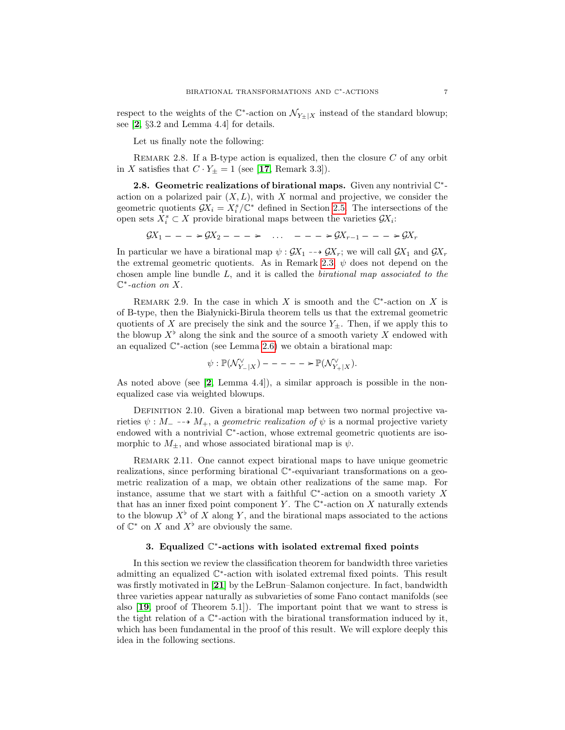respect to the weights of the  $\mathbb{C}^*$ -action on  $\mathcal{N}_{Y_{\pm}|X}$  instead of the standard blowup; see [[2](#page-19-4), §3.2 and Lemma 4.4] for details.

Let us finally note the following:

<span id="page-6-3"></span>REMARK 2.8. If a B-type action is equalized, then the closure  $C$  of any orbit in X satisfies that  $C \cdot Y_{\pm} = 1$  (see [[17](#page-20-7), Remark 3.3]).

<span id="page-6-1"></span>2.8. Geometric realizations of birational maps. Given any nontrivial  $\mathbb{C}^*$ action on a polarized pair  $(X, L)$ , with X normal and projective, we consider the geometric quotients  $\mathcal{G}X_i = X_i^s/\mathbb{C}^*$  defined in Section [2.5.](#page-4-1) The intersections of the open sets  $X_i^s \subset X$  provide birational maps between the varieties  $\mathcal{G}X_i$ :

 $\mathcal{G}X_1 - - - \succ \mathcal{G}X_2 - - - \succ$  ...  $- - \succ \mathcal{G}X_{r-1} - - - \succ \mathcal{G}X_r$ 

In particular we have a birational map  $\psi : \mathcal{G}X_1 \dashrightarrow \mathcal{G}X_r$ ; we will call  $\mathcal{G}X_1$  and  $\mathcal{G}X_r$ the extremal geometric quotients. As in Remark [2.3,](#page-5-0)  $\psi$  does not depend on the chosen ample line bundle L, and it is called the birational map associated to the  $\mathbb{C}^*$ -action on X.

<span id="page-6-2"></span>REMARK 2.9. In the case in which X is smooth and the  $\mathbb{C}^*$ -action on X is of B-type, then the Białynicki-Birula theorem tells us that the extremal geometric quotients of X are precisely the sink and the source  $Y_{\pm}$ . Then, if we apply this to the blowup  $X^{\flat}$  along the sink and the source of a smooth variety X endowed with an equalized  $\mathbb{C}^*$ -action (see Lemma [2.6\)](#page-5-1) we obtain a birational map:

$$
\psi : \mathbb{P}(\mathcal{N}_{Y_{-}|X}^{\vee}) --- --- = \mathbb{P}(\mathcal{N}_{Y_{+}|X}^{\vee}).
$$

As noted above (see  $[2, \text{Lemma } 4.4]$  $[2, \text{Lemma } 4.4]$  $[2, \text{Lemma } 4.4]$ ), a similar approach is possible in the nonequalized case via weighted blowups.

DEFINITION 2.10. Given a birational map between two normal projective varieties  $\psi : M_- \dashrightarrow M_+$ , a geometric realization of  $\psi$  is a normal projective variety endowed with a nontrivial  $\mathbb{C}^*$ -action, whose extremal geometric quotients are isomorphic to  $M_{\pm}$ , and whose associated birational map is  $\psi$ .

REMARK 2.11. One cannot expect birational maps to have unique geometric realizations, since performing birational  $\mathbb{C}^*$ -equivariant transformations on a geometric realization of a map, we obtain other realizations of the same map. For instance, assume that we start with a faithful  $\mathbb{C}^*$ -action on a smooth variety X that has an inner fixed point component Y. The  $\mathbb{C}^*$ -action on X naturally extends to the blowup  $X^{\flat}$  of X along Y, and the birational maps associated to the actions of  $\mathbb{C}^*$  on X and  $X^{\flat}$  are obviously the same.

## 3. Equalized C ∗ -actions with isolated extremal fixed points

<span id="page-6-0"></span>In this section we review the classification theorem for bandwidth three varieties admitting an equalized  $\mathbb{C}^*$ -action with isolated extremal fixed points. This result was firstly motivated in [[21](#page-20-13)] by the LeBrun–Salamon conjecture. In fact, bandwidth three varieties appear naturally as subvarieties of some Fano contact manifolds (see also [[19](#page-20-14), proof of Theorem 5.1]). The important point that we want to stress is the tight relation of a C ∗ -action with the birational transformation induced by it, which has been fundamental in the proof of this result. We will explore deeply this idea in the following sections.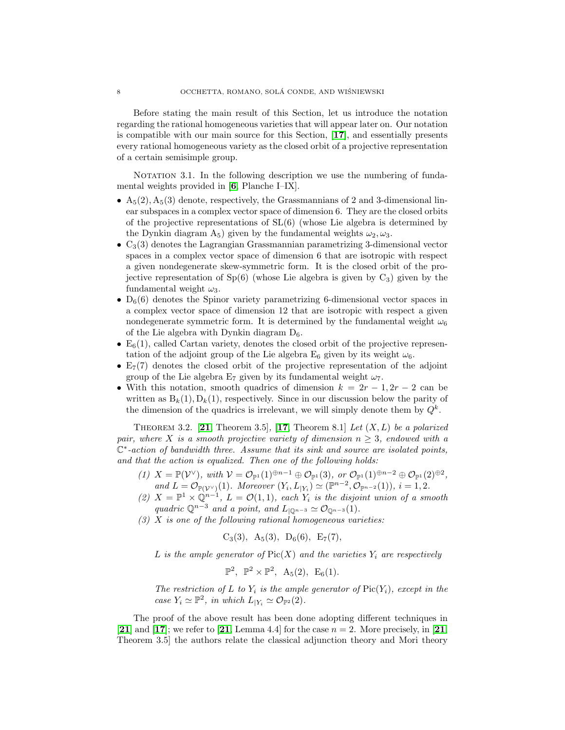Before stating the main result of this Section, let us introduce the notation regarding the rational homogeneous varieties that will appear later on. Our notation is compatible with our main source for this Section, [[17](#page-20-7)], and essentially presents every rational homogeneous variety as the closed orbit of a projective representation of a certain semisimple group.

<span id="page-7-0"></span>NOTATION 3.1. In the following description we use the numbering of fundamental weights provided in [[6](#page-20-15), Planche I–IX].

- $A_5(2), A_5(3)$  denote, respectively, the Grassmannians of 2 and 3-dimensional linear subspaces in a complex vector space of dimension 6. They are the closed orbits of the projective representations of SL(6) (whose Lie algebra is determined by the Dynkin diagram  $A_5$ ) given by the fundamental weights  $\omega_2, \omega_3$ .
- $C_3(3)$  denotes the Lagrangian Grassmannian parametrizing 3-dimensional vector spaces in a complex vector space of dimension 6 that are isotropic with respect a given nondegenerate skew-symmetric form. It is the closed orbit of the projective representation of  $Sp(6)$  (whose Lie algebra is given by  $C_3$ ) given by the fundamental weight  $\omega_3$ .
- $D_6(6)$  denotes the Spinor variety parametrizing 6-dimensional vector spaces in a complex vector space of dimension 12 that are isotropic with respect a given nondegenerate symmetric form. It is determined by the fundamental weight  $\omega_6$ of the Lie algebra with Dynkin diagram  $D_6$ .
- $E_6(1)$ , called Cartan variety, denotes the closed orbit of the projective representation of the adjoint group of the Lie algebra  $E_6$  given by its weight  $\omega_6$ .
- $E_7(7)$  denotes the closed orbit of the projective representation of the adjoint group of the Lie algebra  $E_7$  given by its fundamental weight  $\omega_7$ .
- With this notation, smooth quadrics of dimension  $k = 2r 1, 2r 2$  can be written as  $B_k(1), D_k(1)$ , respectively. Since in our discussion below the parity of the dimension of the quadrics is irrelevant, we will simply denote them by  $Q^k$ .

THEOREM 3.2. [[21](#page-20-13), Theorem 3.5], [[17](#page-20-7), Theorem 8.1] Let  $(X, L)$  be a polarized pair, where X is a smooth projective variety of dimension  $n \geq 3$ , endowed with a C ∗ -action of bandwidth three. Assume that its sink and source are isolated points, and that the action is equalized. Then one of the following holds:

- (1)  $X = \mathbb{P}(\mathcal{V}^{\vee}), \text{ with } \mathcal{V} = \mathcal{O}_{\mathbb{P}^1}(1)^{\oplus n-1} \oplus \mathcal{O}_{\mathbb{P}^1}(3), \text{ or } \mathcal{O}_{\mathbb{P}^1}(1)^{\oplus n-2} \oplus \mathcal{O}_{\mathbb{P}^1}(2)^{\oplus 2},$ and  $L = \mathcal{O}_{\mathbb{P}(\mathcal{V}^{\vee})}(1)$ . Moreover  $(Y_i, L_{|Y_i}) \simeq (\mathbb{P}^{n-2}, \mathcal{O}_{\mathbb{P}^{n-2}}(1)), i = 1, 2$ .
- (2)  $X = \mathbb{P}^1 \times \mathbb{Q}^{n-1}$ ,  $L = \mathcal{O}(1,1)$ , each  $Y_i$  is the disjoint union of a smooth quadric  $\mathbb{Q}^{n-3}$  and a point, and  $L_{|\mathbb{Q}^{n-3}} \simeq \mathcal{O}_{\mathbb{Q}^{n-3}}(1)$ .
- $(3)$  X is one of the following rational homogeneous varieties:

$$
C_3(3)
$$
,  $A_5(3)$ ,  $D_6(6)$ ,  $E_7(7)$ ,

L is the ample generator of  $Pic(X)$  and the varieties  $Y_i$  are respectively

$$
\mathbb{P}^2, \ \mathbb{P}^2 \times \mathbb{P}^2, \ A_5(2), \ E_6(1).
$$

The restriction of L to  $Y_i$  is the ample generator of  $Pic(Y_i)$ , except in the case  $Y_i \simeq \mathbb{P}^2$ , in which  $L_{|Y_i} \simeq \mathcal{O}_{\mathbb{P}^2}(2)$ .

The proof of the above result has been done adopting different techniques in [[21](#page-20-13)] and [[17](#page-20-7)]; we refer to [21, Lemma 4.4] for the case  $n = 2$ . More precisely, in [21, Theorem 3.5] the authors relate the classical adjunction theory and Mori theory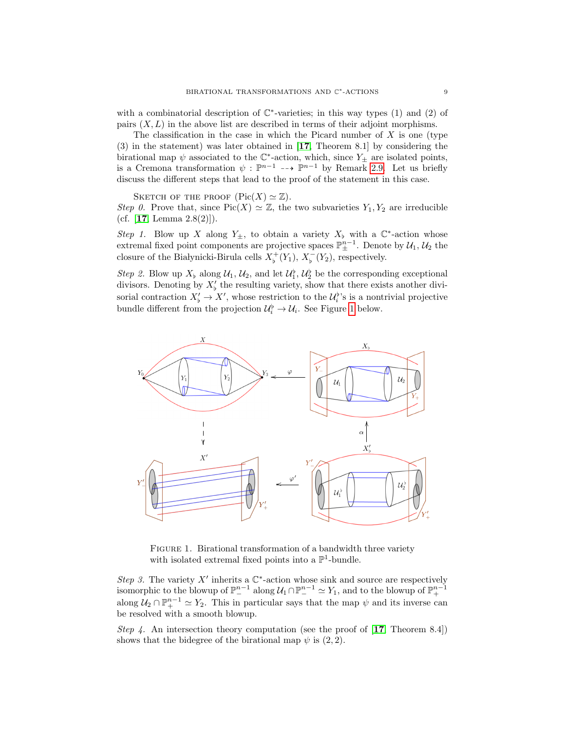with a combinatorial description of  $\mathbb{C}^*$ -varieties; in this way types (1) and (2) of pairs  $(X, L)$  in the above list are described in terms of their adjoint morphisms.

The classification in the case in which the Picard number of  $X$  is one (type (3) in the statement) was later obtained in [[17](#page-20-7), Theorem 8.1] by considering the birational map  $\psi$  associated to the  $\mathbb{C}^*$ -action, which, since  $Y_{\pm}$  are isolated points, is a Cremona transformation  $\psi : \mathbb{P}^{n-1} \longrightarrow \mathbb{P}^{n-1}$  by Remark [2.9.](#page-6-2) Let us briefly discuss the different steps that lead to the proof of the statement in this case.

SKETCH OF THE PROOF  $(\text{Pic}(X) \simeq \mathbb{Z}).$ 

Step 0. Prove that, since  $Pic(X) \simeq \mathbb{Z}$ , the two subvarieties  $Y_1, Y_2$  are irreducible (cf. [[17](#page-20-7), Lemma  $2.8(2)$ ]).

Step 1. Blow up X along  $Y_{\pm}$ , to obtain a variety  $X_{\flat}$  with a  $\mathbb{C}^*$ -action whose extremal fixed point components are projective spaces  $\mathbb{P}^{n-1}_{\pm}$ . Denote by  $\mathcal{U}_1, \mathcal{U}_2$  the closure of the Białynicki-Birula cells  $X_{\flat}^{+}(Y_1), X_{\flat}^{-}(Y_2)$ , respectively.

Step 2. Blow up  $X_{\flat}$  along  $\mathcal{U}_1, \mathcal{U}_2$ , and let  $\mathcal{U}_1^{\flat}, \mathcal{U}_2^{\flat}$  be the corresponding exceptional divisors. Denoting by  $X'_{\flat}$  the resulting variety, show that there exists another divisorial contraction  $X'_{\flat} \to X'$ , whose restriction to the  $\mathcal{U}_i^{\flat}$ 's is a nontrivial projective bundle different from the projection  $\mathcal{U}_i^{\flat} \to \mathcal{U}_i$ . See Figure [1](#page-8-0) below.

<span id="page-8-0"></span>

FIGURE 1. Birational transformation of a bandwidth three variety with isolated extremal fixed points into a  $\mathbb{P}^1$ -bundle.

Step 3. The variety  $X'$  inherits a  $\mathbb{C}^*$ -action whose sink and source are respectively isomorphic to the blowup of  $\mathbb{P}^{n-1}_-$  along  $\mathcal{U}_1 \cap \mathbb{P}^{n-1}_- \simeq Y_1$ , and to the blowup of  $\mathbb{P}^{n-1}_+$ along  $\mathcal{U}_2 \cap \mathbb{P}^{n-1}_+ \simeq Y_2$ . This in particular says that the map  $\psi$  and its inverse can be resolved with a smooth blowup.

Step 4. An intersection theory computation (see the proof of  $[17,$  $[17,$  $[17,$  Theorem 8.4]) shows that the bidegree of the birational map  $\psi$  is (2, 2).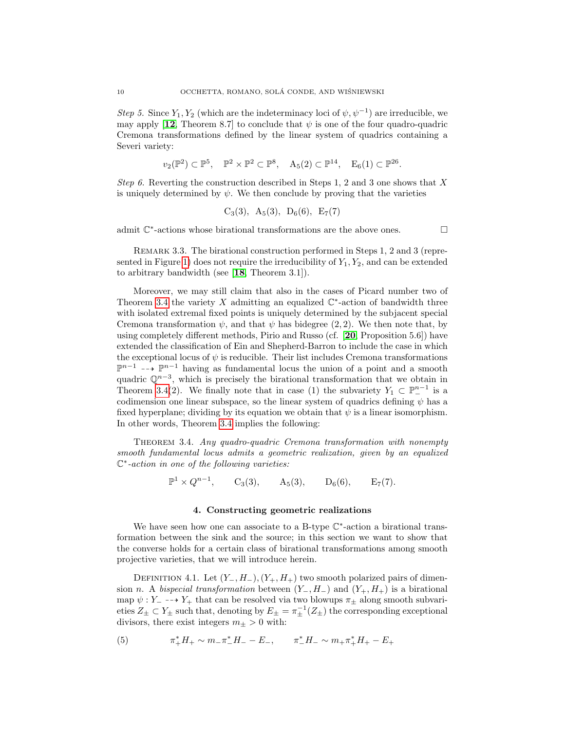Step 5. Since  $Y_1, Y_2$  (which are the indeterminacy loci of  $\psi, \psi^{-1}$ ) are irreducible, we may apply  $[12,$  $[12,$  $[12,$  Theorem 8.7] to conclude that  $\psi$  is one of the four quadro-quadric Cremona transformations defined by the linear system of quadrics containing a Severi variety:

$$
v_2(\mathbb{P}^2) \subset \mathbb{P}^5, \quad \mathbb{P}^2 \times \mathbb{P}^2 \subset \mathbb{P}^8, \quad A_5(2) \subset \mathbb{P}^{14}, \quad E_6(1) \subset \mathbb{P}^{26}.
$$

Step 6. Reverting the construction described in Steps 1, 2 and 3 one shows that X is uniquely determined by  $\psi$ . We then conclude by proving that the varieties

$$
C_3(3)
$$
,  $A_5(3)$ ,  $D_6(6)$ ,  $E_7(7)$ 

admit  $\mathbb{C}^*$ -actions whose birational transformations are the above ones.

REMARK 3.3. The birational construction performed in Steps 1, 2 and 3 (repre-sented in Figure [1\)](#page-8-0) does not require the irreducibility of  $Y_1, Y_2$ , and can be extended to arbitrary bandwidth (see [[18](#page-20-9), Theorem 3.1]).

Moreover, we may still claim that also in the cases of Picard number two of Theorem [3.4](#page-9-1) the variety X admitting an equalized  $\mathbb{C}^*$ -action of bandwidth three with isolated extremal fixed points is uniquely determined by the subjacent special Cremona transformation  $\psi$ , and that  $\psi$  has bidegree (2, 2). We then note that, by using completely different methods, Pirio and Russo (cf. [[20](#page-20-17), Proposition 5.6]) have extended the classification of Ein and Shepherd-Barron to include the case in which the exceptional locus of  $\psi$  is reducible. Their list includes Cremona transformations  $\mathbb{P}^{n-1}$  -→  $\mathbb{P}^{n-1}$  having as fundamental locus the union of a point and a smooth quadric  $\mathbb{Q}^{n-3}$ , which is precisely the birational transformation that we obtain in Theorem [3.4\(](#page-9-1)2). We finally note that in case (1) the subvariety  $Y_1 \subset \mathbb{P}^{n-1}$  is a codimension one linear subspace, so the linear system of quadrics defining  $\psi$  has a fixed hyperplane; dividing by its equation we obtain that  $\psi$  is a linear isomorphism. In other words, Theorem [3.4](#page-9-1) implies the following:

<span id="page-9-1"></span>THEOREM 3.4. Any quadro-quadric Cremona transformation with nonempty smooth fundamental locus admits a geometric realization, given by an equalized C ∗ -action in one of the following varieties:

$$
\mathbb{P}^{1} \times Q^{n-1}, \qquad C_{3}(3), \qquad A_{5}(3), \qquad D_{6}(6), \qquad E_{7}(7).
$$

### 4. Constructing geometric realizations

<span id="page-9-0"></span>We have seen how one can associate to a B-type  $\mathbb{C}^*$ -action a birational transformation between the sink and the source; in this section we want to show that the converse holds for a certain class of birational transformations among smooth projective varieties, that we will introduce herein.

<span id="page-9-3"></span>DEFINITION 4.1. Let  $(Y_-, H_-), (Y_+, H_+)$  two smooth polarized pairs of dimension n. A bispecial transformation between  $(Y_-, H_-)$  and  $(Y_+, H_+)$  is a birational map  $\psi : Y_-\dashrightarrow Y_+$  that can be resolved via two blowups  $\pi_{\pm}$  along smooth subvarieties  $Z_{\pm} \subset Y_{\pm}$  such that, denoting by  $E_{\pm} = \pi_{\pm}^{-1}(Z_{\pm})$  the corresponding exceptional divisors, there exist integers  $m_\pm>0$  with:

<span id="page-9-2"></span>(5) 
$$
\pi_+^* H_+ \sim m_- \pi_-^* H_- - E_-, \qquad \pi_-^* H_- \sim m_+ \pi_+^* H_+ - E_+
$$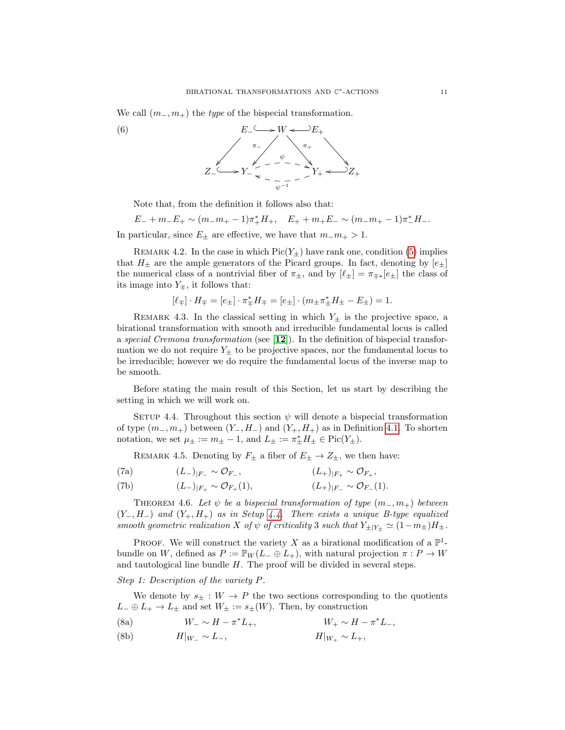We call  $(m_-, m_+)$  the *type* of the bispecial transformation.



Note that, from the definition it follows also that:

 $E_- + m_- E_+ \sim (m_- m_+ - 1) \pi_+^* H_+, \quad E_+ + m_+ E_- \sim (m_- m_+ - 1) \pi_-^* H_-.$ In particular, since  $E_{\pm}$  are effective, we have that  $m_{-}m_{+} > 1$ .

<span id="page-10-4"></span>REMARK 4.2. In the case in which  $Pic(Y_+)$  have rank one, condition [\(5\)](#page-9-2) implies that  $H_{\pm}$  are the ample generators of the Picard groups. In fact, denoting by  $[e_{\pm}]$ the numerical class of a nontrivial fiber of  $\pi_{\pm}$ , and by  $[\ell_{\pm}] = \pi_{\mp *} [e_{\pm}]$  the class of its image into  $Y_{\pm}$ , it follows that:

$$
[\ell_\mp]\cdot H_\mp = [e_\pm]\cdot \pi_\mp^*H_\mp = [e_\pm]\cdot (m_\pm \pi_\pm^*H_\pm - E_\pm) = 1.
$$

REMARK 4.3. In the classical setting in which  $Y_{\pm}$  is the projective space, a birational transformation with smooth and irreducible fundamental locus is called a special Cremona transformation (see [[12](#page-20-16)]). In the definition of bispecial transformation we do not require  $Y_{\pm}$  to be projective spaces, nor the fundamental locus to be irreducible; however we do require the fundamental locus of the inverse map to be smooth.

Before stating the main result of this Section, let us start by describing the setting in which we will work on.

<span id="page-10-1"></span>SETUP 4.4. Throughout this section  $\psi$  will denote a bispecial transformation of type  $(m_-, m_+)$  between  $(Y_-, H_-)$  and  $(Y_+, H_+)$  as in Definition [4.1.](#page-9-3) To shorten notation, we set  $\mu_{\pm} := m_{\pm} - 1$ , and  $L_{\pm} := \pi_{\pm}^* H_{\pm} \in Pic(Y_{\pm})$ .

REMARK 4.5. Denoting by  $F_{\pm}$  a fiber of  $E_{\pm} \rightarrow Z_{\pm}$ , we then have:

<span id="page-10-3"></span>(7a) 
$$
(L_{-})_{|F_{-}} \sim \mathcal{O}_{F_{-}},
$$
  $(L_{+})_{|F_{+}} \sim \mathcal{O}_{F_{+}},$ 

<span id="page-10-2"></span>(7b) 
$$
(L_{-})_{|F_{+}} \sim \mathcal{O}_{F_{+}}(1),
$$
  $(L_{+})_{|F_{-}} \sim \mathcal{O}_{F_{-}}(1).$ 

<span id="page-10-0"></span>THEOREM 4.6. Let  $\psi$  be a bispecial transformation of type  $(m_-, m_+)$  between  $(Y_-, H_-)$  and  $(Y_+, H_+)$  as in Setup [4.4.](#page-10-1) There exists a unique B-type equalized smooth geometric realization X of  $\psi$  of criticality 3 such that  $Y_{\pm|Y_{\pm}} \simeq (1-m_{\pm})H_{\pm}$ .

PROOF. We will construct the variety X as a birational modification of a  $\mathbb{P}^1$ bundle on W, defined as  $P := \mathbb{P}_W(L_- \oplus L_+),$  with natural projection  $\pi : P \to W$ and tautological line bundle H. The proof will be divided in several steps.

Step 1: Description of the variety P.

We denote by  $s_{\pm}: W \to P$  the two sections corresponding to the quotients  $L_-\oplus L_+\to L_\pm$  and set  $W_\pm:=s_\pm(W)$ . Then, by construction

- (8a)  $W_-\sim H-\pi^*L_+$ ,  $W_+\sim H-\pi^*L_-$ \*L<sub>+</sub>,  $W_+$  ∼  $H - π^*$
- (8b)  $H|_{W} \sim L_{-}, \qquad H|_{W_{+}} \sim L_{+},$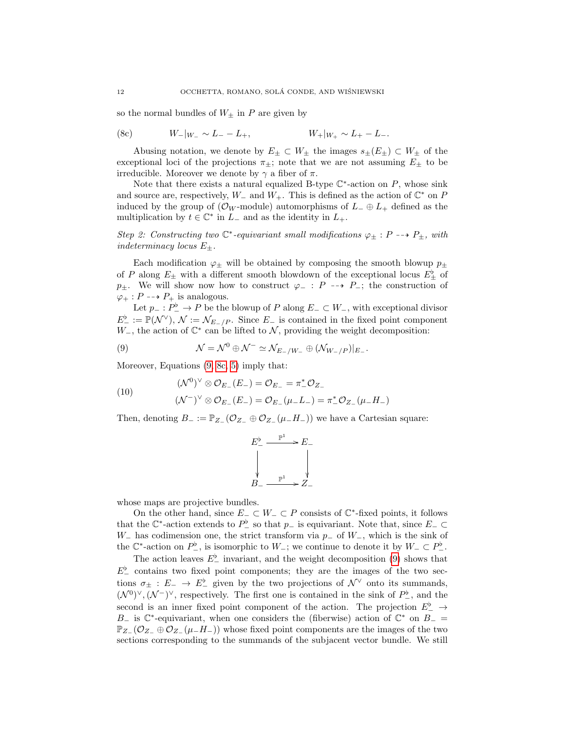so the normal bundles of  $W_{\pm}$  in P are given by

<span id="page-11-1"></span>(8c) 
$$
W_{-}|_{W_{-}} \sim L_{-} - L_{+},
$$
  $W_{+}|_{W_{+}} \sim L_{+} - L_{-}.$ 

Abusing notation, we denote by  $E_{\pm} \subset W_{\pm}$  the images  $s_{\pm}(E_{\pm}) \subset W_{\pm}$  of the exceptional loci of the projections  $\pi_{\pm}$ ; note that we are not assuming  $E_{\pm}$  to be irreducible. Moreover we denote by  $\gamma$  a fiber of  $\pi$ .

Note that there exists a natural equalized B-type  $\mathbb{C}^*$ -action on P, whose sink and source are, respectively,  $W_-\$  and  $W_+$ . This is defined as the action of  $\mathbb{C}^*$  on P induced by the group of  $(\mathcal{O}_W$ -module) automorphisms of  $L_-\oplus L_+$  defined as the multiplication by  $t \in \mathbb{C}^*$  in  $L_{-}$  and as the identity in  $L_{+}$ .

Step 2: Constructing two  $\mathbb{C}^*$ -equivariant small modifications  $\varphi_{\pm} : P \dashrightarrow P_{\pm}$ , with indeterminacy locus  $E_{\pm}$ .

Each modification  $\varphi_{\pm}$  will be obtained by composing the smooth blowup  $p_{\pm}$ of P along  $E_{\pm}$  with a different smooth blowdown of the exceptional locus  $E_{\pm}^{\flat}$  of  $p_{\pm}$ . We will show now how to construct  $\varphi_{-}: P \dashrightarrow P_{-}$ ; the construction of  $\varphi_+ : P \dashrightarrow P_+$  is analogous.

Let  $p_-: P_-^{\flat} \to P$  be the blowup of P along  $E_- \subset W_-,$  with exceptional divisor  $E^{\flat}_{-} := \mathbb{P}(\mathcal{N}^{\vee}), \mathcal{N} := \mathcal{N}_{E-/P}.$  Since  $E_{-}$  is contained in the fixed point component W<sub>-</sub>, the action of  $\mathbb{C}^*$  can be lifted to N, providing the weight decomposition:

<span id="page-11-0"></span>(9) 
$$
\mathcal{N} = \mathcal{N}^0 \oplus \mathcal{N}^- \simeq \mathcal{N}_{E_-/W_-} \oplus (\mathcal{N}_{W_-/P})|_{E_-}.
$$

Moreover, Equations [\(9,](#page-11-0) [8c,](#page-11-1) [5\)](#page-9-2) imply that:

<span id="page-11-2"></span>(10) 
$$
(\mathcal{N}^0)^{\vee} \otimes \mathcal{O}_{E_{-}}(E_{-}) = \mathcal{O}_{E_{-}} = \pi_{-}^* \mathcal{O}_{Z_{-}} (\mathcal{N}^-)^{\vee} \otimes \mathcal{O}_{E_{-}}(E_{-}) = \mathcal{O}_{E_{-}}(\mu_{-}L_{-}) = \pi_{-}^* \mathcal{O}_{Z_{-}}(\mu_{-}H_{-})
$$

Then, denoting  $B_- := \mathbb{P}_{Z_-}(\mathcal{O}_{Z_-} \oplus \mathcal{O}_{Z_-}(\mu_-H_-))$  we have a Cartesian square:

$$
E^{\flat}_{-} \xrightarrow{\mathbb{P}^{1}} E_{-}
$$
\n
$$
\downarrow \qquad \qquad \downarrow
$$
\n
$$
B_{-} \xrightarrow{\mathbb{P}^{1}} Z_{-}
$$

whose maps are projective bundles.

On the other hand, since  $E_-\subset W_-\subset P$  consists of  $\mathbb{C}^*$ -fixed points, it follows that the  $\mathbb{C}^*$ -action extends to  $P^{\flat}$  so that  $p_-\,$  is equivariant. Note that, since  $E_-\subset$ W<sub>-</sub> has codimension one, the strict transform via  $p_$  of W<sub>-</sub>, which is the sink of the  $\mathbb{C}^*$ -action on  $P^{\flat}_{-}$ , is isomorphic to  $W_{-}$ ; we continue to denote it by  $W_{-} \subset P^{\flat}_{-}$ .

The action leaves  $E^{\flat}_{-}$  invariant, and the weight decomposition [\(9\)](#page-11-0) shows that  $E^{\flat}$  contains two fixed point components; they are the images of the two sections  $\sigma_{\pm} : E_{-} \to E_{-}^{\flat}$  given by the two projections of  $\mathcal{N}^{\vee}$  onto its summands,  $(\mathcal{N}^0)^\vee, (\mathcal{N}^-)^\vee$ , respectively. The first one is contained in the sink of  $P^{\flat}_{-}$ , and the second is an inner fixed point component of the action. The projection  $E^{\flat}_{-} \to$ B<sub>-</sub> is  $\mathbb{C}^*$ -equivariant, when one considers the (fiberwise) action of  $\mathbb{C}^*$  on  $B_-=$  $\mathbb{P}_Z$  (O<sub>Z</sub>  $\oplus$  O<sub>Z</sub> ( $\mu$ <sub>−</sub>H<sub>−</sub>)) whose fixed point components are the images of the two sections corresponding to the summands of the subjacent vector bundle. We still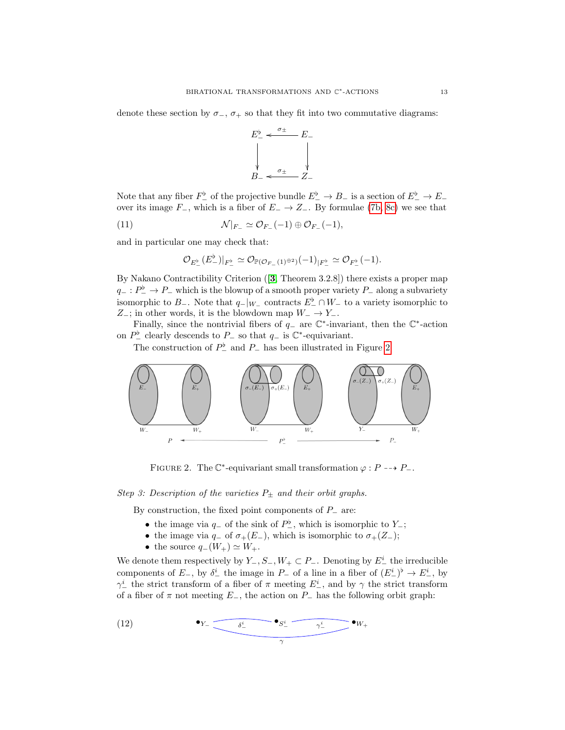denote these section by  $\sigma_{-}$ ,  $\sigma_{+}$  so that they fit into two commutative diagrams:



Note that any fiber  $F_-^{\flat}$  of the projective bundle  $E_-^{\flat} \to B_-$  is a section of  $E_-^{\flat} \to E_$ over its image  $F_-,$  which is a fiber of  $E_-\to Z_-.$  By formulae [\(7b,](#page-10-2) [8c\)](#page-11-1) we see that

(11) 
$$
\mathcal{N}|_{F_{-}} \simeq \mathcal{O}_{F_{-}}(-1) \oplus \mathcal{O}_{F_{-}}(-1),
$$

and in particular one may check that:

$$
\mathcal{O}_{E_-^{\flat}}(E_-^{\flat})|_{F_-^{\flat}} \simeq \mathcal{O}_{\mathbb{P}(\mathcal{O}_{F_-}(1)^{\oplus 2})}(-1)_{|F_-^{\flat}} \simeq \mathcal{O}_{F_-^{\flat}}(-1).
$$

By Nakano Contractibility Criterion ([[3](#page-19-6), Theorem 3.2.8]) there exists a proper map  $q_-\,:\,P^\flat_-\to P_-\,$  which is the blowup of a smooth proper variety  $P_-\,$  along a subvariety isomorphic to  $B_-\$ . Note that  $q_-|_{W_-\}$  contracts  $E^{\flat}_{-} \cap W_-\$  to a variety isomorphic to  $Z_-\;$ ; in other words, it is the blowdown map  $W_-\to Y_-\;$ .

Finally, since the nontrivial fibers of  $q_-\,$  are  $\mathbb{C}^*$ -invariant, then the  $\mathbb{C}^*$ -action on  $P^{\flat}$  clearly descends to  $P_{-}$  so that  $q_{-}$  is  $\mathbb{C}^*$ -equivariant.

The construction of  $P_{-}^{\flat}$  and  $P_{-}$  has been illustrated in Figure [2.](#page-12-0)

<span id="page-12-0"></span>

FIGURE 2. The  $\mathbb{C}^*$ -equivariant small transformation  $\varphi : P \dashrightarrow P_{-}$ .

Step 3: Description of the varieties  $P_{\pm}$  and their orbit graphs.

By construction, the fixed point components of  $P_$  are:

- the image via  $q_$  of the sink of  $P^{\flat}_{-}$ , which is isomorphic to  $Y_$ ;
- the image via  $q_$  of  $\sigma_+(E_-)$ , which is isomorphic to  $\sigma_+(Z_-)$ ;
- the source  $q_-(W_+) \simeq W_+$ .

We denote them respectively by  $Y_-, S_-, W_+ \subset P_-.$  Denoting by  $E^i_-$  the irreducible components of  $E_$ , by  $\delta^i$  the image in  $P_$  of a line in a fiber of  $(E^i_-)^{\flat} \to E^i_-$ , by  $\gamma^i_{-}$  the strict transform of a fiber of  $\pi$  meeting  $E^i_{-}$ , and by  $\gamma$  the strict transform of a fiber of  $\pi$  not meeting  $E_$ , the action on  $P_$  has the following orbit graph:

<span id="page-12-1"></span>(12) 
$$
\bullet_{Y_{-}} \underbrace{\bullet_{S_{-}^i} \bullet_{S_{-}^i} \underbrace{\bullet_{Y_{-}^i}}_{\gamma_{-}^i} \bullet_{W_{+}}
$$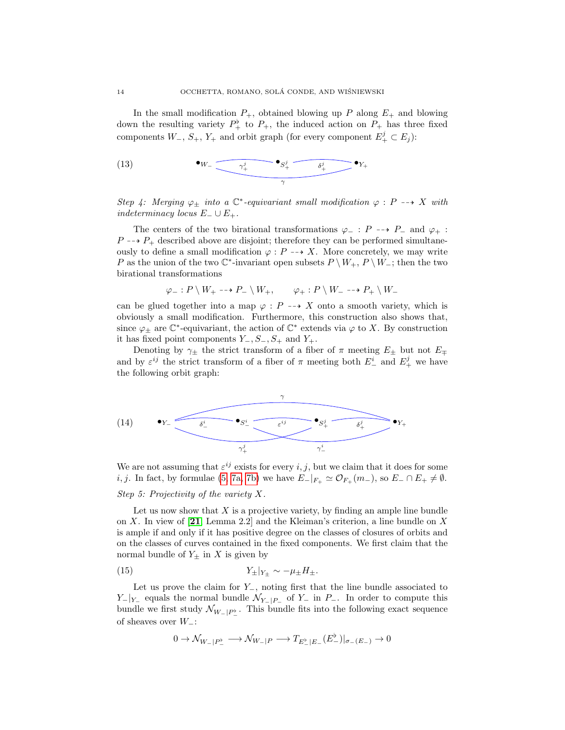In the small modification  $P_+$ , obtained blowing up P along  $E_+$  and blowing down the resulting variety  $P^{\flat}_{+}$  to  $P_{+}$ , the induced action on  $P_{+}$  has three fixed components  $W_-, S_+, Y_+$  and orbit graph (for every component  $E_+^j \subset E_j$ ):

<span id="page-13-0"></span>(13) 
$$
\bullet_{W_{-}} \underbrace{\bullet_{W_{+}} \bullet_{S_{+}^{j}} \underbrace{\bullet_{S_{+}^{j}} \bullet_{\delta_{+}^{j}} \bullet_{Y_{+}}}}_{\gamma}
$$

Step 4: Merging  $\varphi_{\pm}$  into a  $\mathbb{C}^*$ -equivariant small modification  $\varphi : P \dashrightarrow X$  with *indeterminacy locus*  $E_$  ∪  $E_+$ .

The centers of the two birational transformations  $\varphi_ - : P \dashrightarrow P_ -$  and  $\varphi_ + :$  $P \rightarrow P_+$  described above are disjoint; therefore they can be performed simultaneously to define a small modification  $\varphi : P \dashrightarrow X$ . More concretely, we may write P as the union of the two  $\mathbb{C}^*$ -invariant open subsets  $P \setminus W_+$ ,  $P \setminus W_-$ ; then the two birational transformations

$$
\varphi_-: P \setminus W_+ \dashrightarrow P_- \setminus W_+, \qquad \varphi_+: P \setminus W_- \dashrightarrow P_+ \setminus W_-
$$

can be glued together into a map  $\varphi : P \dashrightarrow X$  onto a smooth variety, which is obviously a small modification. Furthermore, this construction also shows that, since  $\varphi_{\pm}$  are  $\mathbb{C}^*$ -equivariant, the action of  $\mathbb{C}^*$  extends via  $\varphi$  to X. By construction it has fixed point components  $Y_-, S_-, S_+$  and  $Y_+.$ 

Denoting by  $\gamma_{\pm}$  the strict transform of a fiber of  $\pi$  meeting  $E_{\pm}$  but not  $E_{\mp}$ and by  $\varepsilon^{ij}$  the strict transform of a fiber of  $\pi$  meeting both  $E_{-}^{i}$  and  $E_{+}^{j}$  we have the following orbit graph:

<span id="page-13-1"></span>

We are not assuming that  $\varepsilon^{ij}$  exists for every i, j, but we claim that it does for some i, j. In fact, by formulae [\(5,](#page-9-2) [7a,](#page-10-3) [7b\)](#page-10-2) we have  $E_{-}|_{F_{+}} \simeq \mathcal{O}_{F_{+}}(m_{-}),$  so  $E_{-} \cap E_{+} \neq \emptyset$ .

## Step 5: Projectivity of the variety X.

Let us now show that  $X$  is a projective variety, by finding an ample line bundle on X. In view of [[21](#page-20-13), Lemma 2.2] and the Kleiman's criterion, a line bundle on X is ample if and only if it has positive degree on the classes of closures of orbits and on the classes of curves contained in the fixed components. We first claim that the normal bundle of  $Y_{\pm}$  in X is given by

$$
(15) \t\t Y_{\pm}|_{Y_{\pm}} \sim -\mu_{\pm}H_{\pm}.
$$

Let us prove the claim for  $Y_$ , noting first that the line bundle associated to  $Y_{-}|_{Y_{-}}$  equals the normal bundle  $\mathcal{N}_{Y_{-}|P_{-}}$  of  $Y_{-}$  in  $P_{-}$ . In order to compute this bundle we first study  $\mathcal{N}_{W-|P_{-}^{\flat}}$ . This bundle fits into the following exact sequence of sheaves over  $W_-\colon$ 

<span id="page-13-2"></span>
$$
0\rightarrow \mathcal{N}_{W_-|P^{\flat}_-}\longrightarrow \mathcal{N}_{W_-|P}\longrightarrow T_{E^{\flat}_-|E_-}(E^{\flat}_-)|_{\sigma_-(E_-)}\rightarrow 0
$$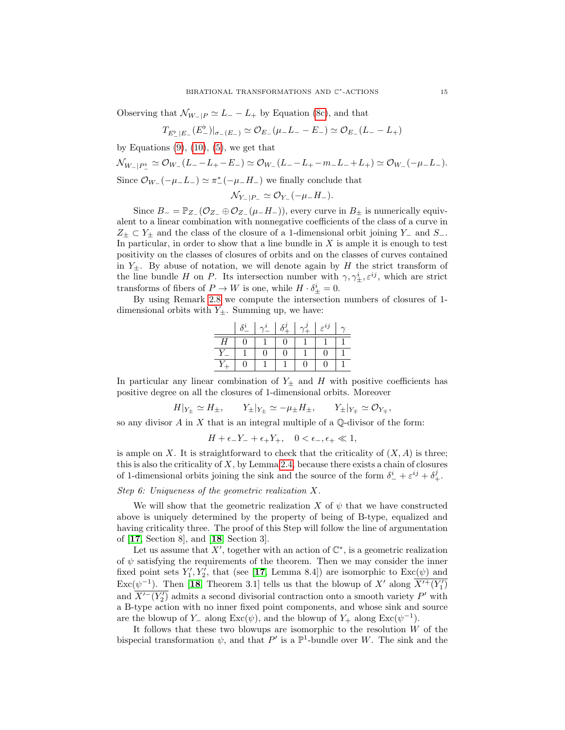Observing that  $\mathcal{N}_{W-|P} \simeq L_{-} - L_{+}$  by Equation [\(8c\)](#page-11-1), and that

$$
T_{E_-^{\flat}|E_-}(E_-^{\flat})|_{\sigma_-(E_-)} \simeq \mathcal{O}_{E_-}(\mu_- L_- - E_-) \simeq \mathcal{O}_{E_-}(L_- - L_+)
$$

by Equations  $(9)$ ,  $(10)$ ,  $(5)$ , we get that

$$
\mathcal{N}_{W-|P^{\flat}_{-}} \simeq \mathcal{O}_{W_{-}}(L_{-}-L_{+}-E_{-}) \simeq \mathcal{O}_{W_{-}}(L_{-}-L_{+}-m_{-}L_{-}+L_{+}) \simeq \mathcal{O}_{W_{-}}(-\mu_{-}L_{-}).
$$
  
Since  $\mathcal{O}_{W_{-}}(-\mu_{-}L_{-}) \simeq \pi_{-}^{*}(-\mu_{-}H_{-})$  we finally conclude that

$$
\mathcal{N}_{Y-|P-} \simeq \mathcal{O}_{Y-}(-\mu_- H_-).
$$

Since  $B_ = \mathbb{P}_{Z_-}(\mathcal{O}_{Z_-} \oplus \mathcal{O}_{Z_-}(\mu_- H_-)),$  every curve in  $B_{\pm}$  is numerically equivalent to a linear combination with nonnegative coefficients of the class of a curve in  $Z_{\pm} \subset Y_{\pm}$  and the class of the closure of a 1-dimensional orbit joining Y<sub>−</sub> and S<sub>−</sub>. In particular, in order to show that a line bundle in  $X$  is ample it is enough to test positivity on the classes of closures of orbits and on the classes of curves contained in  $Y_{\pm}$ . By abuse of notation, we will denote again by H the strict transform of the line bundle H on P. Its intersection number with  $\gamma, \gamma^i_{\pm}, \varepsilon^{ij}$ , which are strict transforms of fibers of  $P \to W$  is one, while  $H \cdot \delta^i_{\pm} = 0$ .

By using Remark [2.8](#page-6-3) we compute the intersection numbers of closures of 1 dimensional orbits with  $Y_{\pm}$ . Summing up, we have:

|   |  | $\delta^j$ | $\gamma^j$ | $\varepsilon^{ij}$ |  |
|---|--|------------|------------|--------------------|--|
| Н |  |            |            |                    |  |
|   |  |            |            |                    |  |
|   |  |            |            |                    |  |

In particular any linear combination of  $Y_{\pm}$  and H with positive coefficients has positive degree on all the closures of 1-dimensional orbits. Moreover

$$
H|_{Y_{\pm}} \simeq H_{\pm}, \qquad Y_{\pm}|_{Y_{\pm}} \simeq -\mu_{\pm}H_{\pm}, \qquad Y_{\pm}|_{Y_{\mp}} \simeq \mathcal{O}_{Y_{\mp}},
$$

so any divisor  $A$  in  $X$  that is an integral multiple of a  $\mathbb{Q}$ -divisor of the form:

$$
H + \epsilon_- Y_- + \epsilon_+ Y_+, \quad 0 < \epsilon_-, \epsilon_+ \ll 1,
$$

is ample on X. It is straightforward to check that the criticality of  $(X, A)$  is three; this is also the criticality of  $X$ , by Lemma [2.4,](#page-5-2) because there exists a chain of closures of 1-dimensional orbits joining the sink and the source of the form  $\delta^i_- + \varepsilon^{ij} + \delta^j_+$ .

## Step 6: Uniqueness of the geometric realization X.

We will show that the geometric realization X of  $\psi$  that we have constructed above is uniquely determined by the property of being of B-type, equalized and having criticality three. The proof of this Step will follow the line of argumentation of [[17](#page-20-7), Section 8], and [[18](#page-20-9), Section 3].

Let us assume that X', together with an action of  $\mathbb{C}^*$ , is a geometric realization of  $\psi$  satisfying the requirements of the theorem. Then we may consider the inner fixed point sets  $Y'_1, Y'_2$ , that (see [[17](#page-20-7), Lemma 8.4]) are isomorphic to  $\text{Exc}(\psi)$  and  $\text{Exc}(\psi^{-1})$ . Then [[18](#page-20-9), Theorem 3.1] tells us that the blowup of X' along  $\overline{X'^+ (Y'_1)}$ and  $\overline{X'^{-}(Y'_2)}$  admits a second divisorial contraction onto a smooth variety P' with a B-type action with no inner fixed point components, and whose sink and source are the blowup of Y<sub>−</sub> along Exc( $\psi$ ), and the blowup of Y<sub>+</sub> along Exc( $\psi$ <sup>-1</sup>).

It follows that these two blowups are isomorphic to the resolution  $W$  of the bispecial transformation  $\psi$ , and that  $P'$  is a  $\mathbb{P}^1$ -bundle over W. The sink and the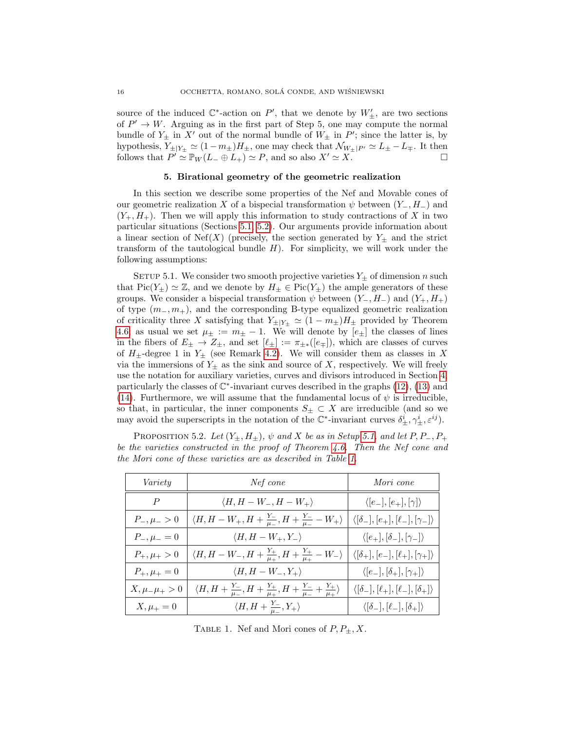source of the induced  $\mathbb{C}^*$ -action on P', that we denote by  $W'_{\pm}$ , are two sections of  $P' \to W$ . Arguing as in the first part of Step 5, one may compute the normal bundle of  $Y_{\pm}$  in X' out of the normal bundle of  $W_{\pm}$  in P'; since the latter is, by hypothesis,  $Y_{\pm|Y_{\pm}} \simeq (1 - m_{\pm})H_{\pm}$ , one may check that  $\mathcal{N}_{W_{\pm}|P'} \simeq L_{\pm} - L_{\mp}$ . It then follows that  $P' \stackrel{\sim}{\simeq} \mathbb{P}_W(L_- \oplus L_+) \simeq P$ , and so also  $X' \simeq X$ .

## 5. Birational geometry of the geometric realization

<span id="page-15-0"></span>In this section we describe some properties of the Nef and Movable cones of our geometric realization X of a bispecial transformation  $\psi$  between  $(Y_-, H_-)$  and  $(Y_+, H_+)$ . Then we will apply this information to study contractions of X in two particular situations (Sections [5.1,](#page-18-1) [5.2\)](#page-19-7). Our arguments provide information about a linear section of Nef(X) (precisely, the section generated by  $Y_{\pm}$  and the strict transform of the tautological bundle  $H$ ). For simplicity, we will work under the following assumptions:

<span id="page-15-2"></span>SETUP 5.1. We consider two smooth projective varieties  $Y_{\pm}$  of dimension n such that  $Pic(Y_{\pm}) \simeq \mathbb{Z}$ , and we denote by  $H_{\pm} \in Pic(Y_{\pm})$  the ample generators of these groups. We consider a bispecial transformation  $\psi$  between  $(Y_-, H_-)$  and  $(Y_+, H_+)$ of type  $(m_-, m_+)$ , and the corresponding B-type equalized geometric realization of criticality three X satisfying that  $Y_{\pm|Y_{\pm}} \simeq (1 - m_{\pm})H_{\pm}$  provided by Theorem [4.6;](#page-10-0) as usual we set  $\mu_{\pm} := m_{\pm} - 1$ . We will denote by  $[e_{\pm}]$  the classes of lines in the fibers of  $E_{\pm} \to Z_{\pm}$ , and set  $[\ell_{\pm}] := \pi_{\pm *}([e_{\mp}])$ , which are classes of curves of  $H_{\pm}$ -degree 1 in  $Y_{\pm}$  (see Remark [4.2\)](#page-10-4). We will consider them as classes in X via the immersions of  $Y_{\pm}$  as the sink and source of X, respectively. We will freely use the notation for auxiliary varieties, curves and divisors introduced in Section [4,](#page-9-0) particularly the classes of  $\mathbb{C}^*$ -invariant curves described in the graphs  $(12)$ ,  $(13)$  and [\(14\)](#page-13-1). Furthermore, we will assume that the fundamental locus of  $\psi$  is irreducible, so that, in particular, the inner components  $S_{\pm} \subset X$  are irreducible (and so we may avoid the superscripts in the notation of the  $\mathbb{C}^*$ -invariant curves  $\delta_{\pm}^i, \gamma_{\pm}^i, \varepsilon^{ij}$ .

<span id="page-15-1"></span>PROPOSITION 5.2. Let  $(Y_{\pm}, H_{\pm})$ ,  $\psi$  and X be as in Setup [5.1,](#page-15-2) and let P, P<sub>-</sub>, P<sub>+</sub> be the varieties constructed in the proof of Theorem [4.6.](#page-10-0) Then the Nef cone and the Mori cone of these varieties are as described in Table [1.](#page-15-3)

<span id="page-15-3"></span>

| Variety             | Nef cone                                                                                                    | Mori cone                                                   |  |
|---------------------|-------------------------------------------------------------------------------------------------------------|-------------------------------------------------------------|--|
| $\boldsymbol{P}$    | $\langle H, H-W_-, H-W_+\rangle$                                                                            | $\langle [e_-,], [e_+], [\gamma] \rangle$                   |  |
| $P_-, \mu_- > 0$    | $\langle H, H - W_+, H + \frac{Y_-}{\mu_-}, H + \frac{Y_-}{\mu_-} - W_+ \rangle$                            | $\langle [\delta_-], [e_+], [\ell_-], [\gamma_-] \rangle$   |  |
| $P_-, \mu_- = 0$    | $\langle H, H-W_+, Y_- \rangle$                                                                             | $\langle [e_+], [\delta_-], [\gamma_-] \rangle$             |  |
| $P_+,\mu_+>0$       | $\langle H, H-W_-, H+\frac{Y_+}{\mu_+}, H+\frac{Y_+}{\mu_+}-W_-\rangle$                                     | $\langle [\delta_+], [e_-], [\ell_+], [\gamma_+]\rangle$    |  |
| $P_+,\mu_+ = 0$     | $\langle H, H-W_-, Y_+ \rangle$                                                                             | $\langle [e_-, [\delta_+], [\gamma_+]\rangle$               |  |
| $X, \mu_-\mu_+ > 0$ | $\langle H, H + \frac{Y_-}{\mu_-}, H + \frac{Y_+}{\mu_+}, H + \frac{Y_-}{\mu_-} + \frac{Y_+}{\mu_+}\rangle$ | $\langle [\delta_-], [\ell_+], [\ell_-], [\delta_+]\rangle$ |  |
| $X, \mu_{+} = 0$    | $\langle H, H+\frac{Y_-}{\mu}, Y_+\rangle$                                                                  | $\langle [\delta_-], [\ell_-], [\delta_+] \rangle$          |  |

TABLE 1. Nef and Mori cones of  $P, P_+, X$ .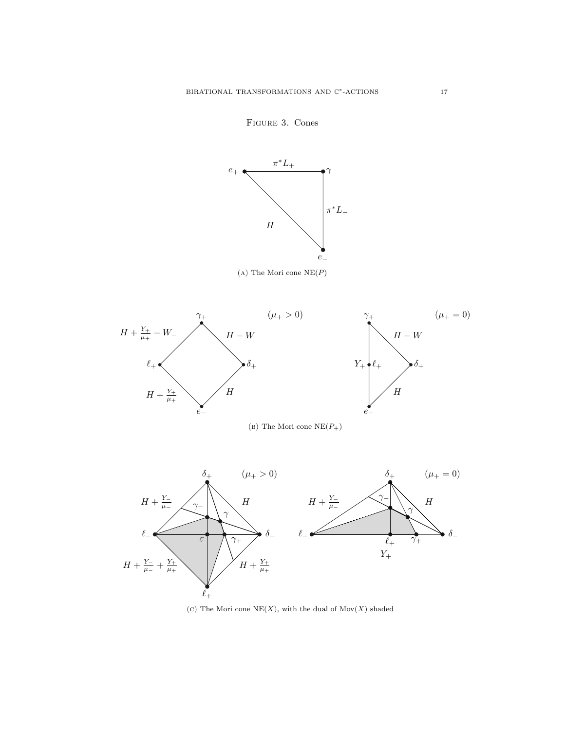<span id="page-16-0"></span>

Figure 3. Cones

(c) The Mori cone  $NE(X)$ , with the dual of  $Mov(X)$  shaded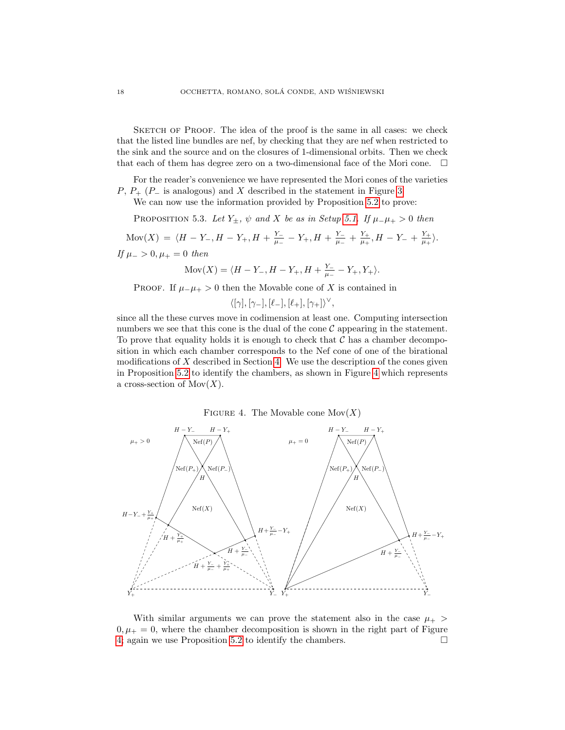SKETCH OF PROOF. The idea of the proof is the same in all cases: we check that the listed line bundles are nef, by checking that they are nef when restricted to the sink and the source and on the closures of 1-dimensional orbits. Then we check that each of them has degree zero on a two-dimensional face of the Mori cone.  $\Box$ 

For the reader's convenience we have represented the Mori cones of the varieties  $P, P_+$  ( $P_-$  is analogous) and X described in the statement in Figure [3.](#page-16-0)

We can now use the information provided by Proposition [5.2](#page-15-1) to prove:

<span id="page-17-0"></span>PROPOSITION 5.3. Let  $Y_{\pm}$ ,  $\psi$  and X be as in Setup [5.1.](#page-15-2) If  $\mu_{-\mu_{+}} > 0$  then

 $\text{Mov}(X) = \langle H - Y_-, H - Y_+, H + \frac{Y_-}{\mu}\rangle$  $\frac{Y_-}{\mu_-} - Y_+, H + \frac{Y_-}{\mu_-}$  $\frac{Y_-}{\mu_-} + \frac{Y_+}{\mu_+}$  $\frac{Y_+}{\mu_+}, H - Y_- + \frac{Y_+}{\mu_+}$  $rac{Y_+}{\mu_+}\rangle.$ If  $\mu$  − > 0,  $\mu$  + = 0 then

$$
Mov(X) = \langle H - Y_-, H - Y_+, H + \frac{Y_-}{\mu_-} - Y_+, Y_+ \rangle.
$$

PROOF. If  $\mu = \mu_+ > 0$  then the Movable cone of X is contained in

$$
\langle [\gamma], [\gamma_-], [\ell_-], [\ell_+], [\gamma_+]\rangle^\vee
$$

,

since all the these curves move in codimension at least one. Computing intersection numbers we see that this cone is the dual of the cone  $\mathcal C$  appearing in the statement. To prove that equality holds it is enough to check that  $\mathcal C$  has a chamber decomposition in which each chamber corresponds to the Nef cone of one of the birational modifications of  $X$  described in Section [4.](#page-9-0) We use the description of the cones given in Proposition [5.2](#page-15-1) to identify the chambers, as shown in Figure [4](#page-17-1) which represents a cross-section of  $Mov(X)$ .

FIGURE 4. The Movable cone  $Mov(X)$ 

<span id="page-17-1"></span>

With similar arguments we can prove the statement also in the case  $\mu_{+}$  $0, \mu_{+} = 0$ , where the chamber decomposition is shown in the right part of Figure [4;](#page-17-1) again we use Proposition [5.2](#page-15-1) to identify the chambers.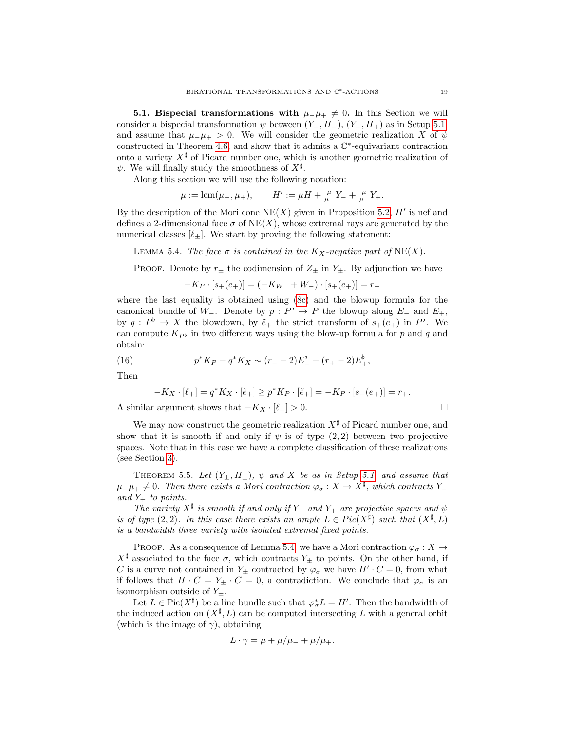<span id="page-18-1"></span>**5.1. Bispecial transformations with**  $\mu_-\mu_+ \neq 0$ . In this Section we will consider a bispecial transformation  $\psi$  between  $(Y_-, H_-), (Y_+, H_+)$  as in Setup [5.1,](#page-15-2) and assume that  $\mu_-\mu_+ > 0$ . We will consider the geometric realization X of  $\psi$ constructed in Theorem [4.6,](#page-10-0) and show that it admits a  $\mathbb{C}^*$ -equivariant contraction onto a variety  $X^{\sharp}$  of Picard number one, which is another geometric realization of  $\psi$ . We will finally study the smoothness of  $X^{\sharp}$ .

Along this section we will use the following notation:

 $\mu := \text{lcm}(\mu_-, \mu_+), \qquad H' := \mu H + \frac{\mu}{\mu_-} Y_- + \frac{\mu}{\mu_+} Y_+.$ 

By the description of the Mori cone  $NE(X)$  given in Proposition [5.2,](#page-15-1)  $H'$  is nef and defines a 2-dimensional face  $\sigma$  of NE(X), whose extremal rays are generated by the numerical classes  $[\ell_+]$ . We start by proving the following statement:

<span id="page-18-2"></span>LEMMA 5.4. The face  $\sigma$  is contained in the  $K_X$ -negative part of NE(X).

PROOF. Denote by  $r_{\pm}$  the codimension of  $Z_{\pm}$  in  $Y_{\pm}$ . By adjunction we have

$$
-K_P\cdot [s_+(e_+)] = (-K_{W_-}+W_-)\cdot [s_+(e_+)] = r_+
$$

where the last equality is obtained using [\(8c\)](#page-11-1) and the blowup formula for the canonical bundle of W<sub>-</sub>. Denote by  $p : P^{\flat} \to P$  the blowup along E<sub>-</sub> and E<sub>+</sub>, by  $q: P^{\flat} \to X$  the blowdown, by  $\tilde{e}_+$  the strict transform of  $s_+(e_+)$  in  $P^{\flat}$ . We can compute  $K_{P^{\flat}}$  in two different ways using the blow-up formula for p and q and obtain:

(16) 
$$
p^*K_P - q^*K_X \sim (r_- - 2)E_-^{\flat} + (r_+ - 2)E_+^{\flat},
$$

Then

$$
-K_X \cdot [\ell_+] = q^* K_X \cdot [\tilde{e}_+] \ge p^* K_P \cdot [\tilde{e}_+] = -K_P \cdot [s_+(e_+)] = r_+.
$$

A similar argument shows that  $-K_X \cdot [\ell_-] > 0$ .

We may now construct the geometric realization  $X^{\sharp}$  of Picard number one, and show that it is smooth if and only if  $\psi$  is of type (2, 2) between two projective spaces. Note that in this case we have a complete classification of these realizations (see Section [3\)](#page-6-0).

<span id="page-18-0"></span>THEOREM 5.5. Let  $(Y_{\pm}, H_{\pm})$ ,  $\psi$  and X be as in Setup [5.1,](#page-15-2) and assume that  $\mu_-\mu_+\neq 0$ . Then there exists a Mori contraction  $\varphi_\sigma:X\to X^\sharp$ , which contracts Y\_ and  $Y_+$  to points.

The variety  $X^{\sharp}$  is smooth if and only if Y\_ and Y<sub>+</sub> are projective spaces and  $\psi$ is of type  $(2, 2)$ . In this case there exists an ample  $L \in Pic(X^{\sharp})$  such that  $(X^{\sharp}, L)$ is a bandwidth three variety with isolated extremal fixed points.

PROOF. As a consequence of Lemma [5.4,](#page-18-2) we have a Mori contraction  $\varphi_{\sigma}: X \to$  $X^{\sharp}$  associated to the face  $\sigma$ , which contracts  $Y_{\pm}$  to points. On the other hand, if C is a curve not contained in  $Y_{\pm}$  contracted by  $\varphi_{\sigma}$  we have  $H' \cdot C = 0$ , from what if follows that  $H \cdot C = Y_{\pm} \cdot C = 0$ , a contradiction. We conclude that  $\varphi_{\sigma}$  is an isomorphism outside of  $Y_{\pm}$ .

Let  $L \in \text{Pic}(X^{\sharp})$  be a line bundle such that  $\varphi_{\sigma}^* L = H'$ . Then the bandwidth of the induced action on  $(X^{\sharp}, L)$  can be computed intersecting L with a general orbit (which is the image of  $\gamma$ ), obtaining

$$
L \cdot \gamma = \mu + \mu/\mu_- + \mu/\mu_+.
$$

$$
\exists
$$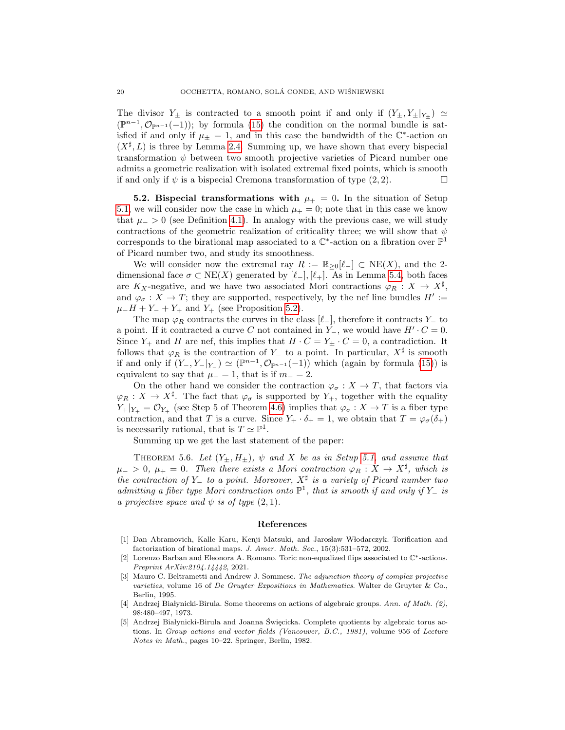The divisor  $Y_{\pm}$  is contracted to a smooth point if and only if  $(Y_{\pm}, Y_{\pm}|_{Y_{\pm}}) \simeq$  $(\mathbb{P}^{n-1}, \mathcal{O}_{\mathbb{P}^{n-1}}(-1));$  by formula [\(15\)](#page-13-2) the condition on the normal bundle is satisfied if and only if  $\mu_{\pm} = 1$ , and in this case the bandwidth of the  $\mathbb{C}^*$ -action on  $(X^{\sharp}, L)$  is three by Lemma [2.4.](#page-5-2) Summing up, we have shown that every bispecial transformation  $\psi$  between two smooth projective varieties of Picard number one admits a geometric realization with isolated extremal fixed points, which is smooth if and only if  $\psi$  is a bispecial Cremona transformation of type  $(2, 2)$ .

<span id="page-19-7"></span>5.2. Bispecial transformations with  $\mu_{+} = 0$ . In the situation of Setup [5.1,](#page-15-2) we will consider now the case in which  $\mu_{+} = 0$ ; note that in this case we know that  $\mu$  > 0 (see Definition [4.1\)](#page-9-3). In analogy with the previous case, we will study contractions of the geometric realization of criticality three; we will show that  $\psi$ corresponds to the birational map associated to a  $\mathbb{C}^*$ -action on a fibration over  $\mathbb{P}^1$ of Picard number two, and study its smoothness.

We will consider now the extremal ray  $R := \mathbb{R}_{\geq 0}[\ell_{-}] \subset \text{NE}(X)$ , and the 2dimensional face  $\sigma \subset NE(X)$  generated by  $[\ell_-], [\ell_+]$ . As in Lemma [5.4,](#page-18-2) both faces are  $K_X$ -negative, and we have two associated Mori contractions  $\varphi_R : X \to X^{\sharp}$ , and  $\varphi_{\sigma}: X \to T$ ; they are supported, respectively, by the nef line bundles  $H' :=$  $\mu$ <sub>−</sub> $H + Y$ <sub>−</sub> +  $Y$ <sub>+</sub> and  $Y$ <sub>+</sub> (see Proposition [5.2\)](#page-15-1).

The map  $\varphi_R$  contracts the curves in the class  $[\ell_$ <sup>−</sup>], therefore it contracts Y<sub>−</sub> to a point. If it contracted a curve C not contained in  $Y_$ , we would have  $H' \cdot C = 0$ . Since  $Y_+$  and H are nef, this implies that  $H \cdot C = Y_{\pm} \cdot C = 0$ , a contradiction. It follows that  $\varphi_R$  is the contraction of Y<sub>−</sub> to a point. In particular,  $X^{\sharp}$  is smooth if and only if  $(Y_-, Y_-|_{Y_-}) \simeq (\mathbb{P}^{n-1}, \mathcal{O}_{\mathbb{P}^{n-1}}(-1))$  which (again by formula [\(15\)](#page-13-2)) is equivalent to say that  $\mu_-=1$ , that is if  $m_-=2$ .

On the other hand we consider the contraction  $\varphi_{\sigma}: X \to T$ , that factors via  $\varphi_R : X \to X^{\sharp}$ . The fact that  $\varphi_{\sigma}$  is supported by  $Y_+$ , together with the equality  $Y_+|_{Y_+} = \mathcal{O}_{Y_+}$  (see Step 5 of Theorem [4.6\)](#page-10-0) implies that  $\varphi_{\sigma}: X \to T$  is a fiber type contraction, and that T is a curve. Since  $Y_+ \cdot \delta_+ = 1$ , we obtain that  $T = \varphi_\sigma(\delta_+)$ is necessarily rational, that is  $T \simeq \mathbb{P}^1$ .

Summing up we get the last statement of the paper:

<span id="page-19-2"></span>THEOREM 5.6. Let  $(Y_{\pm}, H_{\pm})$ ,  $\psi$  and X be as in Setup [5.1,](#page-15-2) and assume that  $\mu_{-} > 0, \ \mu_{+} = 0.$  Then there exists a Mori contraction  $\varphi_R : X \to X^{\sharp}$ , which is the contraction of Y\_ to a point. Moreover,  $X^{\sharp}$  is a variety of Picard number two admitting a fiber type Mori contraction onto  $\mathbb{P}^1$ , that is smooth if and only if Y\_ is a projective space and  $\psi$  is of type  $(2, 1)$ .

#### <span id="page-19-0"></span>References

- <span id="page-19-1"></span>[1] Dan Abramovich, Kalle Karu, Kenji Matsuki, and Jarosław Włodarczyk. Torification and factorization of birational maps. J. Amer. Math. Soc., 15(3):531–572, 2002.
- <span id="page-19-4"></span>[2] Lorenzo Barban and Eleonora A. Romano. Toric non-equalized flips associated to C∗-actions. Preprint ArXiv:2104.14442, 2021.
- <span id="page-19-6"></span>[3] Mauro C. Beltrametti and Andrew J. Sommese. The adjunction theory of complex projective varieties, volume 16 of De Gruyter Expositions in Mathematics. Walter de Gruyter & Co., Berlin, 1995.
- <span id="page-19-3"></span>[4] Andrzej Białynicki-Birula. Some theorems on actions of algebraic groups. Ann. of Math. (2), 98:480–497, 1973.
- <span id="page-19-5"></span>Andrzej Białynicki-Birula and Joanna Święcicka. Complete quotients by algebraic torus actions. In Group actions and vector fields (Vancouver, B.C., 1981), volume 956 of Lecture Notes in Math., pages 10–22. Springer, Berlin, 1982.